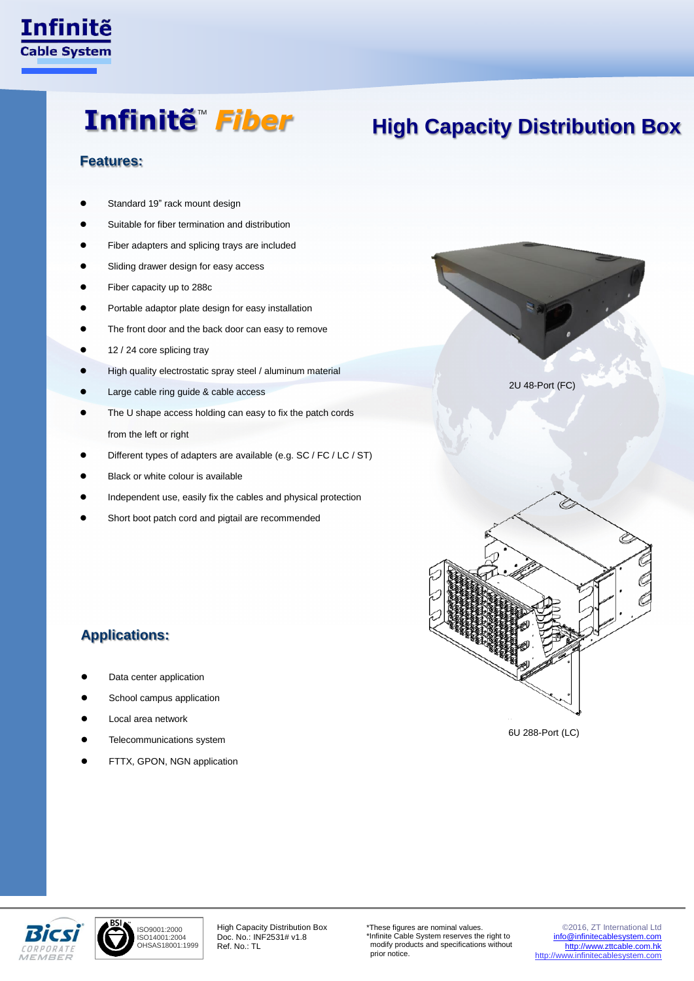

### Infinitẽ<sup>™</sup> *Fiber*

### **High Capacity Distribution Box**

#### **Features:**

- Standard 19" rack mount design
- Suitable for fiber termination and distribution
- Fiber adapters and splicing trays are included
- Sliding drawer design for easy access
- Fiber capacity up to 288c
- Portable adaptor plate design for easy installation
- The front door and the back door can easy to remove
- 12 / 24 core splicing tray
- High quality electrostatic spray steel / aluminum material
- Large cable ring guide & cable access
- The U shape access holding can easy to fix the patch cords from the left or right
- Different types of adapters are available (e.g. SC / FC / LC / ST)
- Black or white colour is available
- Independent use, easily fix the cables and physical protection
- Short boot patch cord and pigtail are recommended

### **Applications:**

- Data center application
- School campus application
- Local area network
- Telecommunications system
- FTTX, GPON, NGN application



6U 288-Port (LC)





High Capacity Distribution Box Doc. No.: INF2531# v1.8 Ref. No.: TL

\*These figures are nominal values. \*Infinite Cable System reserves the right to modify products and specifications without prior notice.

© 2016, ZT International Ltd [info@infinitecablesystem.com](mailto:info@infinitecablesystem.com) [http://www.zttcable.com.hk](http://www.zttcable.com.hk/) [http://www.infinitecablesystem.com](http://www.infinitecablesystem.com/)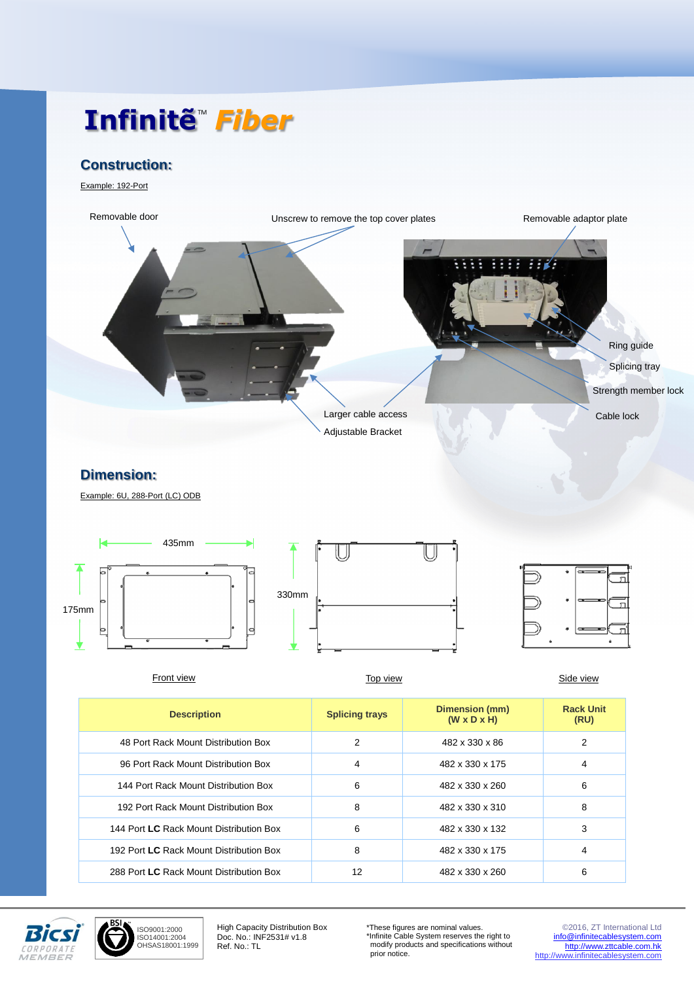# Infinitẽ<sup>™</sup> *Fiber*

### **Construction:**

Example: 192-Port



#### **Dimension:**

Example: 6U, 288-Port (LC) ODB







| Front view                              | Top view              |                                           | Side view                |
|-----------------------------------------|-----------------------|-------------------------------------------|--------------------------|
| <b>Description</b>                      | <b>Splicing trays</b> | Dimension (mm)<br>$(W \times D \times H)$ | <b>Rack Unit</b><br>(RU) |
| 48 Port Rack Mount Distribution Box     | 2                     | 482 x 330 x 86                            | 2                        |
| 96 Port Rack Mount Distribution Box     | 4                     | 482 x 330 x 175                           | 4                        |
| 144 Port Rack Mount Distribution Box    | 6                     | 482 x 330 x 260                           | 6                        |
| 192 Port Rack Mount Distribution Box    | 8                     | 482 x 330 x 310                           | 8                        |
| 144 Port LC Rack Mount Distribution Box | 6                     | 482 x 330 x 132                           | 3                        |
| 192 Port LC Rack Mount Distribution Box | 8                     | 482 x 330 x 175                           | 4                        |
| 288 Port LC Rack Mount Distribution Box | 12                    | 482 x 330 x 260                           | 6                        |



ISO9001:2000 ISO14001:2004 OHSAS18001:1999

High Capacity Distribution Box Doc. No.: INF2531# v1.8 Ref. No.: TL

\*These figures are nominal values. \*Infinite Cable System reserves the right to modify products and specifications without prior notice.

© 2016, ZT International Ltd [info@infinitecablesystem.com](mailto:info@infinitecablesystem.com) [http://www.zttcable.com.hk](http://www.zttcable.com.hk/) [http://www.infinitecablesystem.com](http://www.infinitecablesystem.com/)